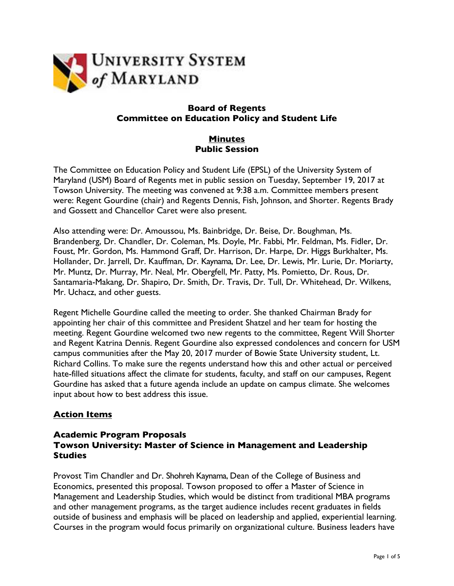

## **Board of Regents Committee on Education Policy and Student Life**

# **Minutes Public Session**

The Committee on Education Policy and Student Life (EPSL) of the University System of Maryland (USM) Board of Regents met in public session on Tuesday, September 19, 2017 at Towson University. The meeting was convened at 9:38 a.m. Committee members present were: Regent Gourdine (chair) and Regents Dennis, Fish, Johnson, and Shorter. Regents Brady and Gossett and Chancellor Caret were also present.

Also attending were: Dr. Amoussou, Ms. Bainbridge, Dr. Beise, Dr. Boughman, Ms. Brandenberg, Dr. Chandler, Dr. Coleman, Ms. Doyle, Mr. Fabbi, Mr. Feldman, Ms. Fidler, Dr. Foust, Mr. Gordon, Ms. Hammond Graff, Dr. Harrison, Dr. Harpe, Dr. Higgs Burkhalter, Ms. Hollander, Dr. Jarrell, Dr. Kauffman, Dr. Kaynama, Dr. Lee, Dr. Lewis, Mr. Lurie, Dr. Moriarty, Mr. Muntz, Dr. Murray, Mr. Neal, Mr. Obergfell, Mr. Patty, Ms. Pomietto, Dr. Rous, Dr. Santamaria-Makang, Dr. Shapiro, Dr. Smith, Dr. Travis, Dr. Tull, Dr. Whitehead, Dr. Wilkens, Mr. Uchacz, and other guests.

Regent Michelle Gourdine called the meeting to order. She thanked Chairman Brady for appointing her chair of this committee and President Shatzel and her team for hosting the meeting. Regent Gourdine welcomed two new regents to the committee, Regent Will Shorter and Regent Katrina Dennis. Regent Gourdine also expressed condolences and concern for USM campus communities after the May 20, 2017 murder of Bowie State University student, Lt. Richard Collins. To make sure the regents understand how this and other actual or perceived hate-filled situations affect the climate for students, faculty, and staff on our campuses, Regent Gourdine has asked that a future agenda include an update on campus climate. She welcomes input about how to best address this issue.

# **Action Items**

#### **Academic Program Proposals Towson University: Master of Science in Management and Leadership Studies**

Provost Tim Chandler and Dr. Shohreh Kaynama, Dean of the College of Business and Economics, presented this proposal. Towson proposed to offer a Master of Science in Management and Leadership Studies, which would be distinct from traditional MBA programs and other management programs, as the target audience includes recent graduates in fields outside of business and emphasis will be placed on leadership and applied, experiential learning. Courses in the program would focus primarily on organizational culture. Business leaders have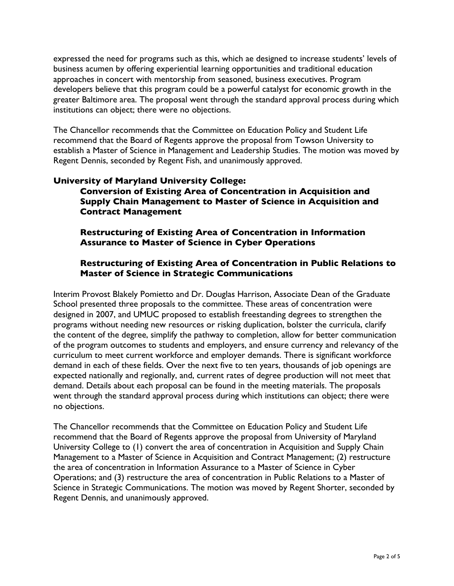expressed the need for programs such as this, which ae designed to increase students' levels of business acumen by offering experiential learning opportunities and traditional education approaches in concert with mentorship from seasoned, business executives. Program developers believe that this program could be a powerful catalyst for economic growth in the greater Baltimore area. The proposal went through the standard approval process during which institutions can object; there were no objections.

The Chancellor recommends that the Committee on Education Policy and Student Life recommend that the Board of Regents approve the proposal from Towson University to establish a Master of Science in Management and Leadership Studies. The motion was moved by Regent Dennis, seconded by Regent Fish, and unanimously approved.

#### **University of Maryland University College: Conversion of Existing Area of Concentration in Acquisition and Supply Chain Management to Master of Science in Acquisition and Contract Management**

**Restructuring of Existing Area of Concentration in Information Assurance to Master of Science in Cyber Operations**

## **Restructuring of Existing Area of Concentration in Public Relations to Master of Science in Strategic Communications**

Interim Provost Blakely Pomietto and Dr. Douglas Harrison, Associate Dean of the Graduate School presented three proposals to the committee. These areas of concentration were designed in 2007, and UMUC proposed to establish freestanding degrees to strengthen the programs without needing new resources or risking duplication, bolster the curricula, clarify the content of the degree, simplify the pathway to completion, allow for better communication of the program outcomes to students and employers, and ensure currency and relevancy of the curriculum to meet current workforce and employer demands. There is significant workforce demand in each of these fields. Over the next five to ten years, thousands of job openings are expected nationally and regionally, and, current rates of degree production will not meet that demand. Details about each proposal can be found in the meeting materials. The proposals went through the standard approval process during which institutions can object; there were no objections.

The Chancellor recommends that the Committee on Education Policy and Student Life recommend that the Board of Regents approve the proposal from University of Maryland University College to (1) convert the area of concentration in Acquisition and Supply Chain Management to a Master of Science in Acquisition and Contract Management; (2) restructure the area of concentration in Information Assurance to a Master of Science in Cyber Operations; and (3) restructure the area of concentration in Public Relations to a Master of Science in Strategic Communications. The motion was moved by Regent Shorter, seconded by Regent Dennis, and unanimously approved.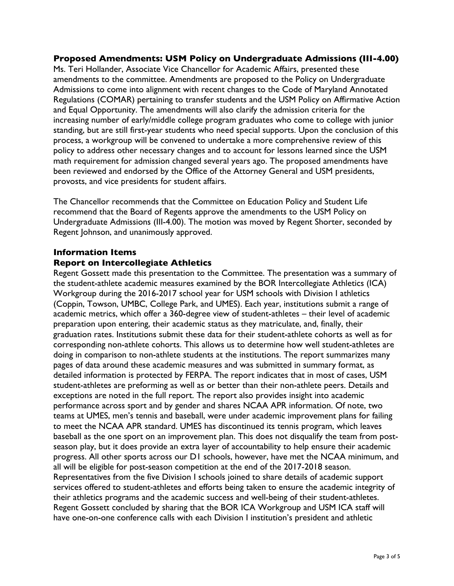#### **Proposed Amendments: USM Policy on Undergraduate Admissions (III-4.00)**

Ms. Teri Hollander, Associate Vice Chancellor for Academic Affairs, presented these amendments to the committee. Amendments are proposed to the Policy on Undergraduate Admissions to come into alignment with recent changes to the Code of Maryland Annotated Regulations (COMAR) pertaining to transfer students and the USM Policy on Affirmative Action and Equal Opportunity. The amendments will also clarify the admission criteria for the increasing number of early/middle college program graduates who come to college with junior standing, but are still first-year students who need special supports. Upon the conclusion of this process, a workgroup will be convened to undertake a more comprehensive review of this policy to address other necessary changes and to account for lessons learned since the USM math requirement for admission changed several years ago. The proposed amendments have been reviewed and endorsed by the Office of the Attorney General and USM presidents, provosts, and vice presidents for student affairs.

The Chancellor recommends that the Committee on Education Policy and Student Life recommend that the Board of Regents approve the amendments to the USM Policy on Undergraduate Admissions (III-4.00). The motion was moved by Regent Shorter, seconded by Regent Johnson, and unanimously approved.

#### **Information Items**

#### **Report on Intercollegiate Athletics**

Regent Gossett made this presentation to the Committee. The presentation was a summary of the student-athlete academic measures examined by the BOR Intercollegiate Athletics (ICA) Workgroup during the 2016-2017 school year for USM schools with Division I athletics (Coppin, Towson, UMBC, College Park, and UMES). Each year, institutions submit a range of academic metrics, which offer a 360-degree view of student-athletes – their level of academic preparation upon entering, their academic status as they matriculate, and, finally, their graduation rates. Institutions submit these data for their student-athlete cohorts as well as for corresponding non-athlete cohorts. This allows us to determine how well student-athletes are doing in comparison to non-athlete students at the institutions. The report summarizes many pages of data around these academic measures and was submitted in summary format, as detailed information is protected by FERPA. The report indicates that in most of cases, USM student-athletes are preforming as well as or better than their non-athlete peers. Details and exceptions are noted in the full report. The report also provides insight into academic performance across sport and by gender and shares NCAA APR information. Of note, two teams at UMES, men's tennis and baseball, were under academic improvement plans for failing to meet the NCAA APR standard. UMES has discontinued its tennis program, which leaves baseball as the one sport on an improvement plan. This does not disqualify the team from postseason play, but it does provide an extra layer of accountability to help ensure their academic progress. All other sports across our D1 schools, however, have met the NCAA minimum, and all will be eligible for post-season competition at the end of the 2017-2018 season. Representatives from the five Division I schools joined to share details of academic support services offered to student-athletes and efforts being taken to ensure the academic integrity of their athletics programs and the academic success and well-being of their student-athletes. Regent Gossett concluded by sharing that the BOR ICA Workgroup and USM ICA staff will have one-on-one conference calls with each Division I institution's president and athletic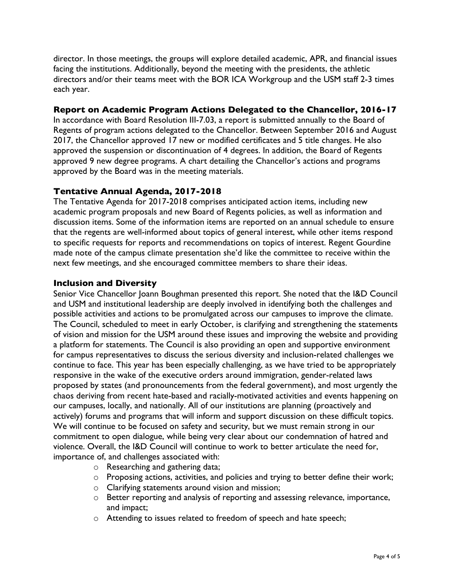director. In those meetings, the groups will explore detailed academic, APR, and financial issues facing the institutions. Additionally, beyond the meeting with the presidents, the athletic directors and/or their teams meet with the BOR ICA Workgroup and the USM staff 2-3 times each year.

#### **Report on Academic Program Actions Delegated to the Chancellor, 2016-17**

In accordance with Board Resolution III-7.03, a report is submitted annually to the Board of Regents of program actions delegated to the Chancellor. Between September 2016 and August 2017, the Chancellor approved 17 new or modified certificates and 5 title changes. He also approved the suspension or discontinuation of 4 degrees. In addition, the Board of Regents approved 9 new degree programs. A chart detailing the Chancellor's actions and programs approved by the Board was in the meeting materials.

#### **Tentative Annual Agenda, 2017-2018**

The Tentative Agenda for 2017-2018 comprises anticipated action items, including new academic program proposals and new Board of Regents policies, as well as information and discussion items. Some of the information items are reported on an annual schedule to ensure that the regents are well-informed about topics of general interest, while other items respond to specific requests for reports and recommendations on topics of interest. Regent Gourdine made note of the campus climate presentation she'd like the committee to receive within the next few meetings, and she encouraged committee members to share their ideas.

#### **Inclusion and Diversity**

Senior Vice Chancellor Joann Boughman presented this report. She noted that the I&D Council and USM and institutional leadership are deeply involved in identifying both the challenges and possible activities and actions to be promulgated across our campuses to improve the climate. The Council, scheduled to meet in early October, is clarifying and strengthening the statements of vision and mission for the USM around these issues and improving the website and providing a platform for statements. The Council is also providing an open and supportive environment for campus representatives to discuss the serious diversity and inclusion-related challenges we continue to face. This year has been especially challenging, as we have tried to be appropriately responsive in the wake of the executive orders around immigration, gender-related laws proposed by states (and pronouncements from the federal government), and most urgently the chaos deriving from recent hate-based and racially-motivated activities and events happening on our campuses, locally, and nationally. All of our institutions are planning (proactively and actively) forums and programs that will inform and support discussion on these difficult topics. We will continue to be focused on safety and security, but we must remain strong in our commitment to open dialogue, while being very clear about our condemnation of hatred and violence. Overall, the I&D Council will continue to work to better articulate the need for, importance of, and challenges associated with:

- o Researching and gathering data;
- o Proposing actions, activities, and policies and trying to better define their work;
- o Clarifying statements around vision and mission;
- o Better reporting and analysis of reporting and assessing relevance, importance, and impact;
- o Attending to issues related to freedom of speech and hate speech;